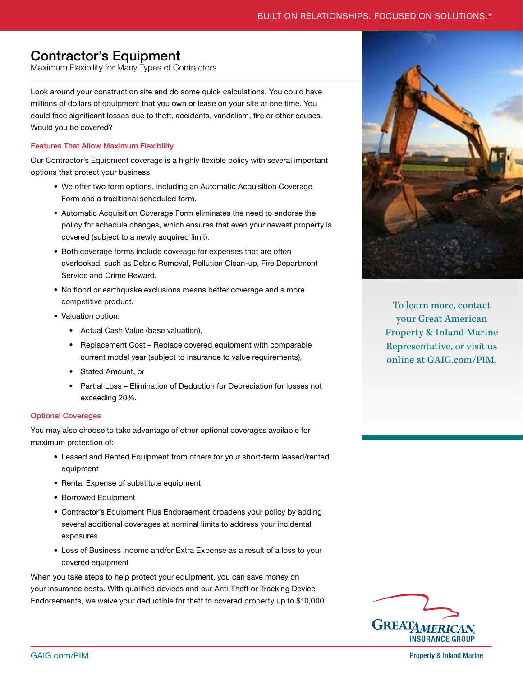# Contractor's Equipment

Maximum Flexibility for Many Types of Contractors

Look around your construction site and do some quick calculations. You could have millions of dollars of equipment that you own or lease on your site at one time. You could face significant losses due to theft, accidents, vandalism, fire or other causes. Would you be covered?

## Features That Allow Maximum Flexibility

Our Contractor's Equipment coverage is a highly flexible policy with several important options that protect your business.

- We offer two form options, including an Automatic Acquisition Coverage Form and a traditional scheduled form.
- Automatic Acquisition Coverage Form eliminates the need to endorse the policy for schedule changes, which ensures that even your newest property is covered (subject to a newly acquired limit).
- Both coverage forms include coverage for expenses that are often overlooked, such as Debris Removal, Pollution Clean-up, Fire Department Service and Crime Reward.
- No flood or earthquake exclusions means better coverage and a more competitive product.
- Valuation option:
	- Actual Cash Value (base valuation),
	- Replacement Cost Replace covered equipment with comparable current model year (subject to insurance to value requirements),
	- Stated Amount, or
	- Partial Loss Elimination of Deduction for Depreciation for losses not exceeding 20%.

## Optional Coverages

You may also choose to take advantage of other optional coverages available for maximum protection of:

- Leased and Rented Equipment from others for your short-term leased/rented equipment
- Rental Expense of substitute equipment
- Borrowed Equipment
- Contractor's Equipment Plus Endorsement broadens your policy by adding several additional coverages at nominal limits to address your incidental exposures
- Loss of Business Income and/or Extra Expense as a result of a loss to your covered equipment

When you take steps to help protect your equipment, you can save money on your insurance costs. With qualified devices and our Anti-Theft or Tracking Device Endorsements, we waive your deductible for theft to covered property up to \$10,000.



To learn more, contact your Great American Property & Inland Marine Representative, or visit us online at GAIG.com/PIM.



Property & Inland Marine